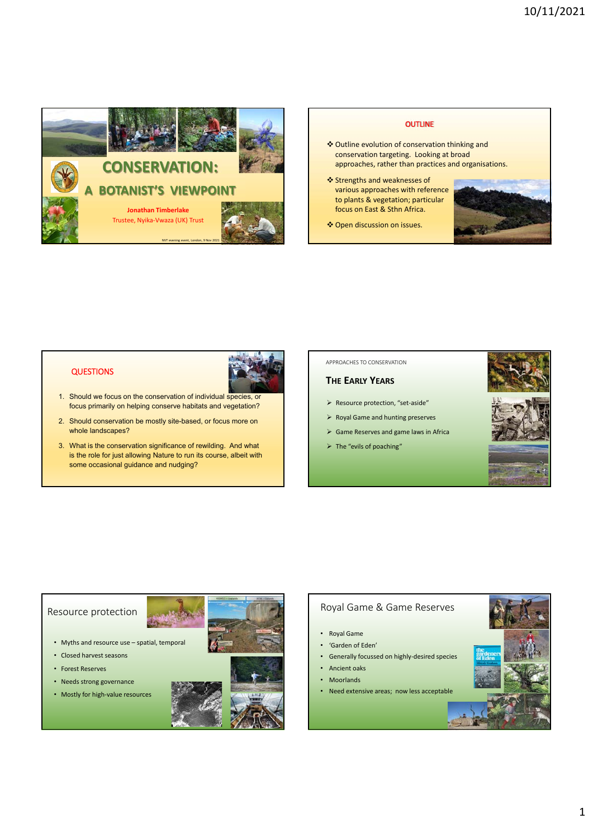

**OUTLINE**  Outline evolution of conservation thinking and conservation targeting. Looking at broad approaches, rather than practices and organisations. Strengths and weaknesses of various approaches with reference to plants & vegetation; particular focus on East & Sthn Africa. Open discussion on issues.

## QUESTIONS



- 1. Should we focus on the conservation of individual species, or focus primarily on helping conserve habitats and vegetation?
- 2. Should conservation be mostly site-based, or focus more on whole landscapes?
- 3. What is the conservation significance of rewilding. And what is the role for just allowing Nature to run its course, albeit with some occasional guidance and nudging?

### APPROACHES TO CONSERVATION

# **THE EARLY YEARS**

- $\triangleright$  Resource protection, "set-aside"
- $\triangleright$  Royal Game and hunting preserves
- $\triangleright$  Game Reserves and game laws in Africa
- $\triangleright$  The "evils of poaching"







### Resource protection

- Myths and resource use spatial, temporal
- Closed harvest seasons
- Forest Reserves
- Needs strong governance
- Mostly for high-value resources

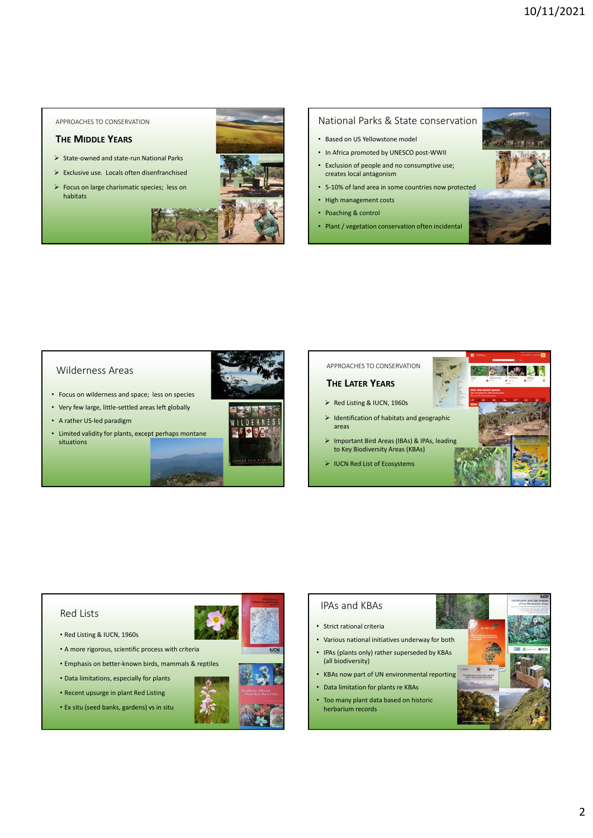APPROACHES TO CONSERVATION

## **THE MIDDLE YEARS**

- State-owned and state-run National Parks
- Exclusive use. Locals often disenfranchised
- Focus on large charismatic species; less on habitats







### National Parks & State conservation

- Based on US Yellowstone model
- In Africa promoted by UNESCO post-WWII
- Exclusion of people and no consumptive use; creates local antagonism
- 5-10% of land area in some countries now protected
- High management costs
- Poaching & control
- Plant / vegetation conservation often incidental



### Wilderness Areas

- Focus on wilderness and space; less on species
- Very few large, little-settled areas left globally
- A rather US-led paradigm
- Limited validity for plants, except perhaps montane situations



### APPROACHES TO CONSERVATION

### **THE LATER YEARS**

- ▶ Red Listing & IUCN, 1960s
- $\triangleright$  Identification of habitats and geographic areas
- > Important Bird Areas (IBAs) & IPAs, leading to Key Biodiversity Areas (KBAs)
- IUCN Red List of Ecosystems



# IPAs and KBAs • Strict rational criteria • Various national initiatives underway for both • IPAs (plants only) rather superseded by KBAs (all biodiversity) • KBAs now part of UN environmental reporting • Data limitation for plants re KBAs

• Too many plant data based on historic herbarium records

## Red Lists

- Red Listing & IUCN, 1960s
- A more rigorous, scientific process with criteria
- Emphasis on better-known birds, mammals & reptiles
- Data limitations, especially for plants
- Recent upsurge in plant Red Listing
- Ex situ (seed banks, gardens) vs in situ



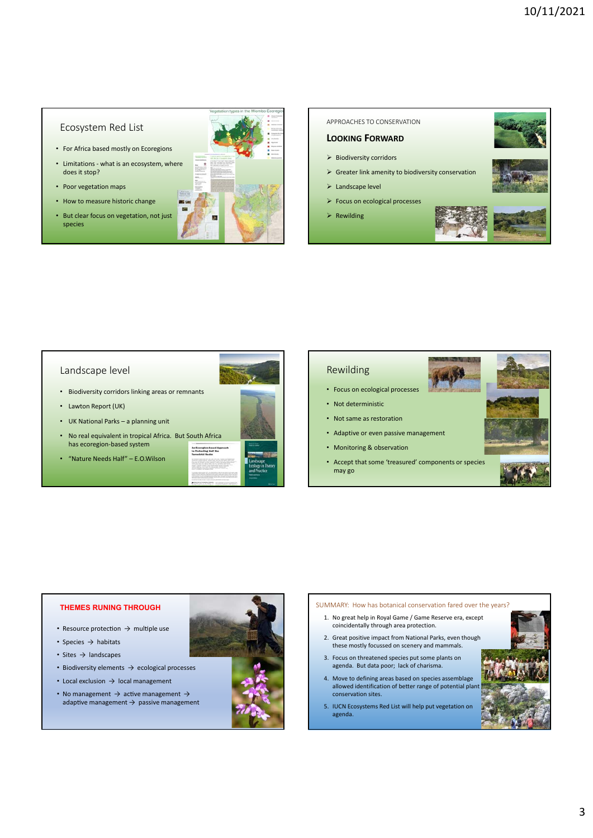## Ecosystem Red List

- For Africa based mostly on Ecoregions
- Limitations what is an ecosystem, where does it stop?
- Poor vegetation maps
- How to measure historic change
- But clear focus on vegetation, not just species



### APPROACHES TO CONSERVATION

## **LOOKING FORWARD**

- $\triangleright$  Biodiversity corridors
- $\triangleright$  Greater link amenity to biodiversity conservation
- > Landscape level
- Focus on ecological processes
- $\triangleright$  Rewilding







### Landscape level

- Biodiversity corridors linking areas or remnants
- Lawton Report (UK)
- UK National Parks a planning unit
- No real equivalent in tropical Africa. But South Africa has ecoregion-based system oregion-lias<br>steeling Hall
- "Nature Needs Half" E.O.Wilson







- Focus on ecological processes
- Not deterministic
- Not same as restoration
- Adaptive or even passive management
- Monitoring & observation
- Accept that some 'treasured' components or species may go





### **THEMES RUNING THROUGH**

- Resource protection  $\rightarrow$  multiple use
- Species → habitats
- Sites  $\rightarrow$  landscapes
- Biodiversity elements  $\rightarrow$  ecological processes
- Local exclusion  $\rightarrow$  local management
- No management  $\rightarrow$  active management  $\rightarrow$ adaptive management  $\rightarrow$  passive management



### SUMMARY: How has botanical conservation fared over the years?

- 1. No great help in Royal Game / Game Reserve era, except coincidentally through area protection.
- 2. Great positive impact from National Parks, even though these mostly focussed on scenery and mammals.
- 3. Focus on threatened species put some plants on agenda. But data poor; lack of charisma.
- 4. Move to defining areas based on species assemblage allowed identification of better range of potential plan conservation sites.
- 5. IUCN Ecosystems Red List will help put vegetation on agenda.